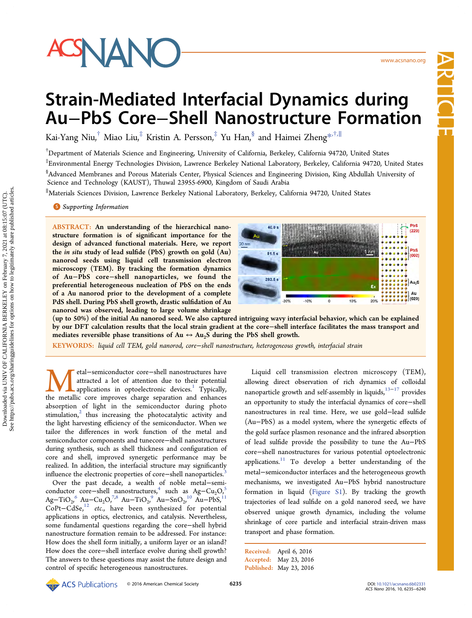

www.acsnano.org ww.acsnano.org Article

# Strain-Mediated Interfacial Dynamics during Au−PbS Core−Shell Nanostructure Formation

Kai-Yang Niu,<sup>†</sup> Miao Liu,<sup>‡</sup> Kristin A. Persson,<sup>‡</sup> Yu Han,<sup>§</sup> and Haimei Zheng<sup>[\\*](#page-4-0),†,∥</sup>

† Department of Materials Science and Engineering, University of California, Berkeley, California 94720, United States

‡ Environmental Energy Technologies Division, Lawrence Berkeley National Laboratory, Berkeley, California 94720, United States § Advanced Membranes and Porous Materials Center, Physical Sciences and Engineering Division, King Abdullah University of Science and Technology (KAUST), Thuwal 23955-6900, Kingdom of Saudi Arabia

∥ Materials Sciences Division, Lawrence Berkeley National Laboratory, Berkeley, California 94720, United States

**S** [Supporting Information](#page-4-0)

ABSTRACT: An understanding of the hierarchical nanostructure formation is of significant importance for the design of advanced functional materials. Here, we report the in situ study of lead sulfide (PbS) growth on gold (Au) nanorod seeds using liquid cell transmission electron microscopy (TEM). By tracking the formation dynamics of Au−PbS core−shell nanoparticles, we found the preferential heterogeneous nucleation of PbS on the ends of a Au nanorod prior to the development of a complete PdS shell. During PbS shell growth, drastic sulfidation of Au nanorod was observed, leading to large volume shrinkage



(up to 50%) of the initial Au nanorod seed. We also captured intriguing wavy interfacial behavior, which can be explained by our DFT calculation results that the local strain gradient at the core−shell interface facilitates the mass transport and mediates reversible phase transitions of  $Au \leftrightarrow Au<sub>2</sub>S$  during the PbS shell growth.

KEYWORDS: liquid cell TEM, gold nanorod, core−shell nanostructure, heterogeneous growth, interfacial strain

Metal−semiconductor core−shell nanostructures have attracted a lot of attention due to their potential applications in optoelectronic devices.<sup>1</sup> Typically, the metallic core improves charge separation and enhances attracted a lot of attention due to their potential applications in optoelectronic devices.<sup>[1](#page-4-0)</sup> Typically, absorption of light in the semiconductor during photo stimulation, $2$  thus increasing the photocatalytic activity and the light harvesting efficiency of the semiconductor. When we tailor the differences in work function of the metal and semiconductor components and tunecore−shell nanostructures during synthesis, such as shell thickness and configuration of core and shell, improved synergetic performance may be realized. In addition, the interfacial structure may significantly influence the electronic properties of core−shell nanoparticles.[3](#page-4-0)

Over the past decade, a wealth of noble metal−semi-conductor core−shell nanostructures,<sup>[4](#page-4-0)</sup> such as Ag−Cu<sub>2</sub>O,<sup>[5](#page-4-0)</sup> Ag–TiO<sub>2</sub>,<sup>[6](#page-4-0)</sup> Au–Cu<sub>2</sub>O,<sup>7,8</sup> Au–TiO<sub>2</sub>,<sup>[9](#page-4-0)</sup> Au–SnO<sub>2</sub>,<sup>[10](#page-4-0)</sup> Au–PbS,<sup>[11](#page-4-0)</sup> CoPt−CdSe,[12](#page-4-0) etc., have been synthesized for potential applications in optics, electronics, and catalysis. Nevertheless, some fundamental questions regarding the core−shell hybrid nanostructure formation remain to be addressed. For instance: How does the shell form initially, a uniform layer or an island? How does the core−shell interface evolve during shell growth? The answers to these questions may assist the future design and control of specific heterogeneous nanostructures.

Liquid cell transmission electron microscopy (TEM), allowing direct observation of rich dynamics of colloidal nanoparticle growth and self-assembly in liquids,  $^{13-17}$  $^{13-17}$  $^{13-17}$  $^{13-17}$  $^{13-17}$  provides an opportunity to study the interfacial dynamics of core−shell nanostructures in real time. Here, we use gold−lead sulfide (Au−PbS) as a model system, where the synergetic effects of the gold surface plasmon resonance and the infrared absorption of lead sulfide provide the possibility to tune the Au−PbS core−shell nanostructures for various potential optoelectronic applications. $11$  To develop a better understanding of the metal−semiconductor interfaces and the heterogeneous growth mechanisms, we investigated Au−PbS hybrid nanostructure formation in liquid ([Figure S1\)](http://pubs.acs.org/doi/suppl/10.1021/acsnano.6b02331/suppl_file/nn6b02331_si_001.pdf). By tracking the growth trajectories of lead sulfide on a gold nanorod seed, we have observed unique growth dynamics, including the volume shrinkage of core particle and interfacial strain-driven mass transport and phase formation.

Received: April 6, 2016 Accepted: May 23, 2016 Published: May 23, 2016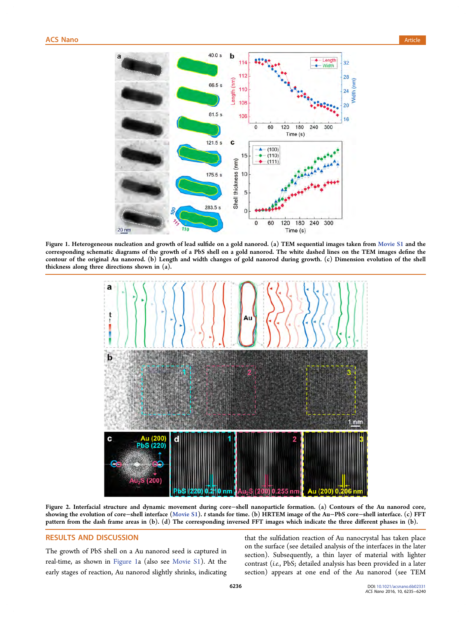<span id="page-1-0"></span>

Figure 1. Heterogeneous nucleation and growth of lead sulfide on a gold nanorod. (a) TEM sequential images taken from [Movie S1](http://pubs.acs.org/doi/suppl/10.1021/acsnano.6b02331/suppl_file/nn6b02331_si_002.avi) and the corresponding schematic diagrams of the growth of a PbS shell on a gold nanorod. The white dashed lines on the TEM images define the contour of the original Au nanorod. (b) Length and width changes of gold nanorod during growth. (c) Dimension evolution of the shell thickness along three directions shown in (a).



Figure 2. Interfacial structure and dynamic movement during core−shell nanoparticle formation. (a) Contours of the Au nanorod core, showing the evolution of core−shell interface ([Movie S1](http://pubs.acs.org/doi/suppl/10.1021/acsnano.6b02331/suppl_file/nn6b02331_si_002.avi)). t stands for time. (b) HRTEM image of the Au−PbS core−shell interface. (c) FFT pattern from the dash frame areas in (b). (d) The corresponding inversed FFT images which indicate the three different phases in (b).

# RESULTS AND DISCUSSION

The growth of PbS shell on a Au nanorod seed is captured in real-time, as shown in Figure 1a (also see [Movie S1\)](http://pubs.acs.org/doi/suppl/10.1021/acsnano.6b02331/suppl_file/nn6b02331_si_002.avi). At the early stages of reaction, Au nanorod slightly shrinks, indicating that the sulfidation reaction of Au nanocrystal has taken place on the surface (see detailed analysis of the interfaces in the later section). Subsequently, a thin layer of material with lighter contrast (i.e., PbS; detailed analysis has been provided in a later section) appears at one end of the Au nanorod (see TEM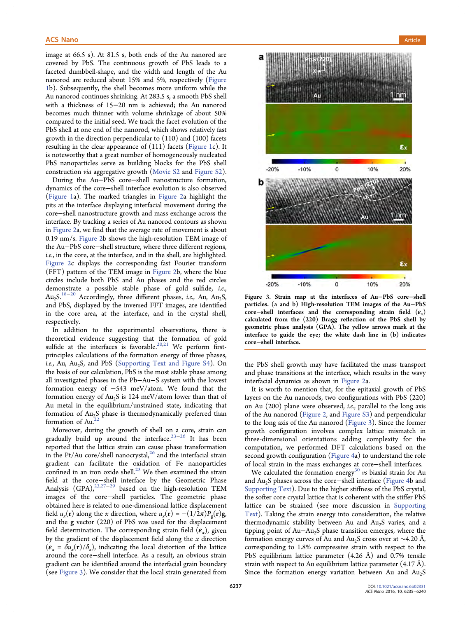image at 66.5 s). At 81.5 s, both ends of the Au nanorod are covered by PbS. The continuous growth of PbS leads to a faceted dumbbell-shape, and the width and length of the Au nanorod are reduced about 15% and 5%, respectively [\(Figure](#page-1-0) [1](#page-1-0)b). Subsequently, the shell becomes more uniform while the Au nanorod continues shrinking. At 283.5 s, a smooth PbS shell with a thickness of 15−20 nm is achieved; the Au nanorod becomes much thinner with volume shrinkage of about 50% compared to the initial seed. We track the facet evolution of the PbS shell at one end of the nanorod, which shows relatively fast growth in the direction perpendicular to (110) and (100) facets resulting in the clear appearance of (111) facets ([Figure 1c](#page-1-0)). It is noteworthy that a great number of homogeneously nucleated PbS nanoparticles serve as building blocks for the PbS shell construction via aggregative growth [\(Movie S2](http://pubs.acs.org/doi/suppl/10.1021/acsnano.6b02331/suppl_file/nn6b02331_si_003.avi) and [Figure S2\)](http://pubs.acs.org/doi/suppl/10.1021/acsnano.6b02331/suppl_file/nn6b02331_si_001.pdf).

During the Au−PbS core−shell nanostructure formation, dynamics of the core−shell interface evolution is also observed [\(Figure 1](#page-1-0)a). The marked triangles in [Figure 2](#page-1-0)a highlight the pits at the interface displaying interfacial movement during the core−shell nanostructure growth and mass exchange across the interface. By tracking a series of Au nanorod contours as shown in [Figure 2](#page-1-0)a, we find that the average rate of movement is about 0.19 nm/s. [Figure 2](#page-1-0)b shows the high-resolution TEM image of the Au−PbS core−shell structure, where three different regions, i.e., in the core, at the interface, and in the shell, are highlighted. [Figure 2](#page-1-0)c displays the corresponding fast Fourier transform (FFT) pattern of the TEM image in [Figure 2](#page-1-0)b, where the blue circles include both PbS and Au phases and the red circles demonstrate a possible stable phase of gold sulfide, i.e.,  $Au_2S$ <sup>[18](#page-4-0)−[20](#page-4-0)</sup> Accordingly, three different phases, i.e., Au, Au<sub>2</sub>S, and PbS, displayed by the inversed FFT images, are identified in the core area, at the interface, and in the crystal shell, respectively.

In addition to the experimental observations, there is theoretical evidence suggesting that the formation of gold sulfide at the interfaces is favorable.<sup>[20](#page-4-0),[21](#page-4-0)</sup> We perform firstprinciples calculations of the formation energy of three phases, i.e., Au, Au<sub>2</sub>S, and PbS ([Supporting Text and Figure S4](http://pubs.acs.org/doi/suppl/10.1021/acsnano.6b02331/suppl_file/nn6b02331_si_001.pdf)). On the basis of our calculation, PbS is the most stable phase among all investigated phases in the Pb−Au−S system with the lowest formation energy of −543 meV/atom. We found that the formation energy of  $Au<sub>2</sub>S$  is 124 meV/atom lower than that of Au metal in the equilibrium/unstrained state, indicating that formation of Au<sub>2</sub>S phase is thermodynamically preferred than formation of Au.<sup>2</sup>

Moreover, during the growth of shell on a core, strain can gradually build up around the interface.<sup>[23](#page-5-0)-[26](#page-5-0)</sup> It has been reported that the lattice strain can cause phase transformation in the Pt/Au core/shell nanocrystal, $^{26}$  $^{26}$  $^{26}$  and the interfacial strain gradient can facilitate the oxidation of Fe nanoparticles confined in an iron oxide shell. $^{23}$  $^{23}$  $^{23}$  We then examined the strain field at the core−shell interface by the Geometric Phase Analysis (GPA),<sup>[23,27](#page-5-0)−[29](#page-5-0)</sup> based on the high-resolution TEM images of the core−shell particles. The geometric phase obtained here is related to one-dimensional lattice displacement field  $u_x(\mathbf{r})$  along the x direction, where  $u_x(\mathbf{r}) = -(1/2\pi)P_g(\mathbf{r})\mathbf{g}$ , and the g vector (220) of PbS was used for the displacement field determination. The corresponding strain field  $(\varepsilon_x)$ , given by the gradient of the displacement field along the  $x$  direction  $(\mathbf{\varepsilon}_{x} = \delta u_{x}(\mathbf{r})/\delta_{x})$ , indicating the local distortion of the lattice around the core−shell interface. As a result, an obvious strain gradient can be identified around the interfacial grain boundary (see Figure 3). We consider that the local strain generated from



Figure 3. Strain map at the interfaces of Au−PbS core−shell particles. (a and b) High-resolution TEM images of the Au−PbS core−shell interfaces and the corresponding strain field  $(\varepsilon_x)$ calculated from the (220) Bragg reflection of the PbS shell by geometric phase analysis (GPA). The yellow arrows mark at the interface to guide the eye; the white dash line in (b) indicates core−shell interface.

the PbS shell growth may have facilitated the mass transport and phase transitions at the interface, which results in the wavy interfacial dynamics as shown in [Figure 2a](#page-1-0).

It is worth to mention that, for the epitaxial growth of PbS layers on the Au nanorods, two configurations with PbS (220) on Au (200) plane were observed, i.e., parallel to the long axis of the Au nanorod ([Figure 2](#page-1-0), and [Figure S3\)](http://pubs.acs.org/doi/suppl/10.1021/acsnano.6b02331/suppl_file/nn6b02331_si_001.pdf) and perpendicular to the long axis of the Au nanorod (Figure 3). Since the former growth configuration involves complex lattice mismatch in three-dimensional orientations adding complexity for the computation, we performed DFT calculations based on the second growth configuration ([Figure 4](#page-3-0)a) to understand the role of local strain in the mass exchanges at core−shell interfaces.

We calculated the formation energy<sup>[30](#page-5-0)</sup> vs biaxial strain for Au and Au<sub>2</sub>S phases across the core−shell interface ([Figure 4](#page-3-0)b and [Supporting Text](http://pubs.acs.org/doi/suppl/10.1021/acsnano.6b02331/suppl_file/nn6b02331_si_001.pdf)). Due to the higher stiffness of the PbS crystal, the softer core crystal lattice that is coherent with the stiffer PbS lattice can be strained (see more discussion in [Supporting](http://pubs.acs.org/doi/suppl/10.1021/acsnano.6b02331/suppl_file/nn6b02331_si_001.pdf) [Text\)](http://pubs.acs.org/doi/suppl/10.1021/acsnano.6b02331/suppl_file/nn6b02331_si_001.pdf). Taking the strain energy into consideration, the relative thermodynamic stability between Au and  $Au_2S$  varies, and a tipping point of Au−Au2S phase transition emerges, where the formation energy curves of Au and Au<sub>2</sub>S cross over at ~4.20 Å, corresponding to 1.8% compressive strain with respect to the PbS equilibrium lattice parameter (4.26 Å) and 0.7% tensile strain with respect to Au equilibrium lattice parameter  $(4.17 \text{ Å})$ . Since the formation energy variation between Au and  $Au_2S$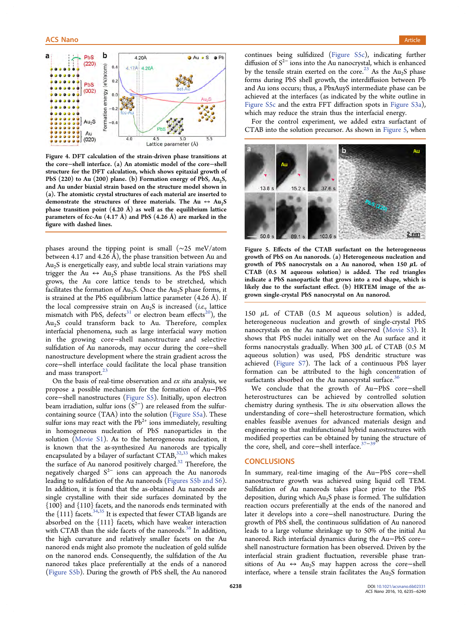<span id="page-3-0"></span>

Figure 4. DFT calculation of the strain-driven phase transitions at the core−shell interface. (a) An atomistic model of the core−shell structure for the DFT calculation, which shows epitaxial growth of PbS  $(220)$  to Au  $(200)$  plane. (b) Formation energy of PbS, Au<sub>2</sub>S, and Au under biaxial strain based on the structure model shown in (a). The atomistic crystal structures of each material are inserted to demonstrate the structures of three materials. The Au  $\leftrightarrow$  Au<sub>2</sub>S phase transition point  $(4.20 \text{ Å})$  as well as the equilibrium lattice parameters of fcc-Au  $(4.17 \text{ Å})$  and PbS  $(4.26 \text{ Å})$  are marked in the figure with dashed lines.

phases around the tipping point is small (∼25 meV/atom between 4.17 and 4.26 Å), the phase transition between Au and  $Au<sub>2</sub>S$  is energetically easy, and subtle local strain variations may trigger the Au  $\leftrightarrow$  Au<sub>2</sub>S phase transitions. As the PbS shell grows, the Au core lattice tends to be stretched, which facilitates the formation of  $Au_2S$ . Once the  $Au_2S$  phase forms, it is strained at the PbS equilibrium lattice parameter  $(4.26 \text{ Å})$ . If the local compressive strain on  $Au<sub>2</sub>S$  is increased (*i.e.*, lattice mismatch with PbS, defects<sup>[31](#page-5-0)</sup> or electron beam effects<sup>20</sup>), the  $Au<sub>2</sub>S$  could transform back to Au. Therefore, complex interfacial phenomena, such as large interfacial wavy motion in the growing core−shell nanostructure and selective sulfidation of Au nanorods, may occur during the core−shell nanostructure development where the strain gradient across the core−shell interface could facilitate the local phase transition and mass transport.<sup>[23](#page-5-0)</sup>

On the basis of real-time observation and ex situ analysis, we propose a possible mechanism for the formation of Au−PbS core−shell nanostructures ([Figure S5\)](http://pubs.acs.org/doi/suppl/10.1021/acsnano.6b02331/suppl_file/nn6b02331_si_001.pdf). Initially, upon electron beam irradiation, sulfur ions  $(S^{2-})$  are released from the sulfurcontaining source (TAA) into the solution ([Figure S5a\)](http://pubs.acs.org/doi/suppl/10.1021/acsnano.6b02331/suppl_file/nn6b02331_si_001.pdf). These sulfur ions may react with the  $Pb^{2+}$  ions immediately, resulting in homogeneous nucleation of PbS nanoparticles in the solution [\(Movie S1](http://pubs.acs.org/doi/suppl/10.1021/acsnano.6b02331/suppl_file/nn6b02331_si_002.avi)). As to the heterogeneous nucleation, it is known that the as-synthesized Au nanorods are typically encapsulated by a bilayer of surfactant CTAB,<sup>[32,33](#page-5-0)</sup> which makes the surface of Au nanorod positively charged.<sup>[32](#page-5-0)</sup> Therefore, the negatively charged  $S^{2-}$  ions can approach the Au nanorods leading to sulfidation of the Au nanorods ([Figures S5b and S6\)](http://pubs.acs.org/doi/suppl/10.1021/acsnano.6b02331/suppl_file/nn6b02331_si_001.pdf). In addition, it is found that the as-obtained Au nanorods are single crystalline with their side surfaces dominated by the {100} and {110} facets, and the nanorods ends terminated with the {111} facets.<sup>[34,35](#page-5-0)</sup> It is expected that fewer CTAB ligands are absorbed on the {111} facets, which have weaker interaction with CTAB than the side facets of the nanorods.<sup>[36](#page-5-0)</sup> In addition, the high curvature and relatively smaller facets on the Au nanorod ends might also promote the nucleation of gold sulfide on the nanorod ends. Consequently, the sulfidation of the Au nanorod takes place preferentially at the ends of a nanorod [\(Figure S5b\)](http://pubs.acs.org/doi/suppl/10.1021/acsnano.6b02331/suppl_file/nn6b02331_si_001.pdf). During the growth of PbS shell, the Au nanorod

continues being sulfidized ([Figure S5c](http://pubs.acs.org/doi/suppl/10.1021/acsnano.6b02331/suppl_file/nn6b02331_si_001.pdf)), indicating further diffusion of  $S^{2-}$  ions into the Au nanocrystal, which is enhanced by the tensile strain exerted on the core.<sup>[23](#page-5-0)</sup> As the Au<sub>2</sub>S phase forms during PbS shell growth, the interdiffusion between Pb and Au ions occurs; thus, a PbxAuyS intermediate phase can be achieved at the interfaces (as indicated by the white outline in [Figure S5c](http://pubs.acs.org/doi/suppl/10.1021/acsnano.6b02331/suppl_file/nn6b02331_si_001.pdf) and the extra FFT diffraction spots in [Figure S3a\)](http://pubs.acs.org/doi/suppl/10.1021/acsnano.6b02331/suppl_file/nn6b02331_si_001.pdf), which may reduce the strain thus the interfacial energy.

For the control experiment, we added extra surfactant of CTAB into the solution precursor. As shown in Figure 5, when



Figure 5. Effects of the CTAB surfactant on the heterogeneous growth of PbS on Au nanorods. (a) Heterogeneous nucleation and growth of PbS nanocrystals on a Au nanorod, when  $150 \mu L$  of CTAB (0.5 M aqueous solution) is added. The red triangles indicate a PbS nanoparticle that grows into a rod shape, which is likely due to the surfactant effect. (b) HRTEM image of the asgrown single-crystal PbS nanocrystal on Au nanorod.

150  $\mu$ L of CTAB (0.5 M aqueous solution) is added, heterogeneous nucleation and growth of single-crystal PbS nanocrystals on the Au nanorod are observed [\(Movie S3\)](http://pubs.acs.org/doi/suppl/10.1021/acsnano.6b02331/suppl_file/nn6b02331_si_004.avi). It shows that PbS nuclei initially wet on the Au surface and it forms nanocrystals gradually. When 300  $\mu$ L of CTAB (0.5 M aqueous solution) was used, PbS dendritic structure was achieved [\(Figure S7](http://pubs.acs.org/doi/suppl/10.1021/acsnano.6b02331/suppl_file/nn6b02331_si_001.pdf)). The lack of a continuous PbS layer formation can be attributed to the high concentration of surfactants absorbed on the Au nanocyrstal surface.<sup>[36](#page-5-0)</sup>

We conclude that the growth of Au−PbS core−shell heterostructures can be achieved by controlled solution chemistry during synthesis. The in situ observation allows the understanding of core−shell heterostructure formation, which enables feasible avenues for advanced materials design and engineering so that multifunctional hybrid nanostructures with modified properties can be obtained by tuning the structure of the core, shell, and core−shell interface.<sup>[37](#page-5-0)–[39](#page-5-0)</sup>

# **CONCLUSIONS**

In summary, real-time imaging of the Au−PbS core−shell nanostructure growth was achieved using liquid cell TEM. Sulfidation of Au nanorods takes place prior to the PbS deposition, during which Au2S phase is formed. The sulfidation reaction occurs preferentially at the ends of the nanorod and later it develops into a core−shell nanostructure. During the growth of PbS shell, the continuous sulfidation of Au nanorod leads to a large volume shrinkage up to 50% of the initial Au nanorod. Rich interfacial dynamics during the Au−PbS core− shell nanostructure formation has been observed. Driven by the interfacial strain gradient fluctuation, reversible phase transitions of Au ↔ Au<sub>2</sub>S may happen across the core-shell interface, where a tensile strain facilitates the  $Au_2S$  formation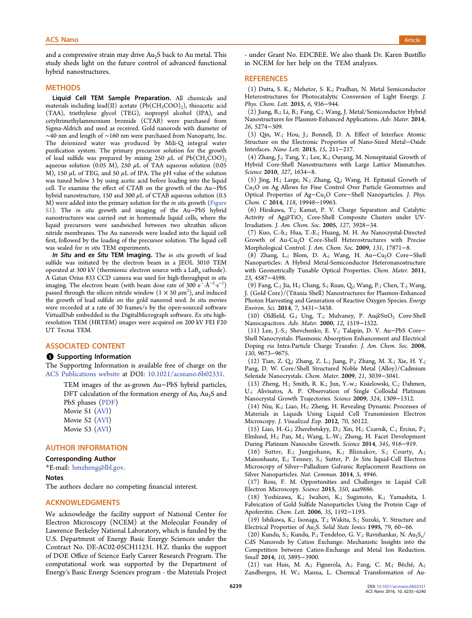# <span id="page-4-0"></span>and a set of the control of the control of the control of the control of the control of the control of the control of the control of the control of the control of the control of the control of the control of the control of

and a compressive strain may drive  $Au<sub>2</sub>S$  back to Au metal. This study sheds light on the future control of advanced functional hybrid nanostructures.

#### **METHODS**

Liquid Cell TEM Sample Preparation. All chemicals and materials including lead(II) acetate  $(Pb(CH_3COO)_{2})$ , thioacetic acid (TAA), triethylene glycol (TEG), isopropyl alcohol (IPA), and cetyltrimethylammonium bromide (CTAB) were purchased from Sigma-Aldrich and used as received. Gold nanorods with diameter of ∼40 nm and length of ∼160 nm were purchased from Nanopartz, Inc. The deionized water was produced by Mili-Q integral water purification system. The primary precursor solution for the growth of lead sulfide was prepared by mixing 250  $\mu$ L of Pb(CH<sub>3</sub>COO)<sub>2</sub> aqueous solution (0.05 M), 250  $\mu$ L of TAA aqueous solution (0.05 M), 150  $\mu$ L of TEG, and 50  $\mu$ L of IPA. The pH value of the solution was tuned below 3 by using acetic acid before loading into the liquid cell. To examine the effect of CTAB on the growth of the Au−PbS hybrid nanostructure, 150 and 300  $\mu$ L of CTAB aqueous solution (0.5 M) were added into the primary solution for the in situ growth ([Figure](http://pubs.acs.org/doi/suppl/10.1021/acsnano.6b02331/suppl_file/nn6b02331_si_001.pdf) [S1](http://pubs.acs.org/doi/suppl/10.1021/acsnano.6b02331/suppl_file/nn6b02331_si_001.pdf)). The *in situ* growth and imaging of the Au–PbS hybrid nanostructures was carried out in homemade liquid cells, where the liquid precursors were sandwiched between two ultrathin silicon nitride membranes. The Au nanorods were loaded into the liquid cell first, followed by the loading of the precursor solution. The liquid cell was sealed for in situ TEM experiments.

In Situ and ex Situ TEM Imaging. The in situ growth of lead sulfide was initiated by the electron beam in a JEOL 3010 TEM operated at 300 kV (thermionic electron source with a  $LaB<sub>6</sub>$  cathode). A Gatan Orius 833 CCD camera was used for high-throughput in situ imaging. The electron beam (with beam dose rate of 300 e<sup>−.</sup>Å<sup>−2.</sup>s<sup>−1</sup>) passed through the silicon nitride window  $(1\times50\ \mu\text{m}^2)$ , and induced the growth of lead sulfide on the gold nanorod seed. In situ movies were recorded at a rate of 30 frames/s by the open-sourced software VirtualDub embedded in the DigitalMicrograph software. Ex situ highresolution TEM (HRTEM) images were acquired on 200 kV FEI F20 UT Tecnai TEM.

#### ASSOCIATED CONTENT

#### **S** Supporting Information

The Supporting Information is available free of charge on the [ACS Publications website](http://pubs.acs.org) at DOI: [10.1021/acsnano.6b02331.](http://pubs.acs.org/doi/abs/10.1021/acsnano.6b02331)

TEM images of the as-grown Au−PbS hybrid particles, DFT calculation of the formation energy of Au,  $Au<sub>2</sub>S$  and PbS phases ([PDF\)](http://pubs.acs.org/doi/suppl/10.1021/acsnano.6b02331/suppl_file/nn6b02331_si_001.pdf)

Movie S1 ([AVI\)](http://pubs.acs.org/doi/suppl/10.1021/acsnano.6b02331/suppl_file/nn6b02331_si_002.avi)

- Movie S2 ([AVI\)](http://pubs.acs.org/doi/suppl/10.1021/acsnano.6b02331/suppl_file/nn6b02331_si_003.avi)
- Movie S3 ([AVI\)](http://pubs.acs.org/doi/suppl/10.1021/acsnano.6b02331/suppl_file/nn6b02331_si_004.avi)

### AUTHOR INFORMATION

#### Corresponding Author

\*E-mail: [hmzheng@lbl.gov.](mailto:hmzheng@lbl.gov)

# Notes

The authors declare no competing financial interest.

# ACKNOWLEDGMENTS

We acknowledge the facility support of National Center for Electron Microscopy (NCEM) at the Molecular Foundry of Lawrence Berkeley National Laboratory, which is funded by the U.S. Department of Energy Basic Energy Sciences under the Contract No. DE-AC02-05CH11231. H.Z. thanks the support of DOE Office of Science Early Career Research Program. The computational work was supported by the Department of Energy's Basic Energy Sciences program - the Materials Project

- under Grant No. EDCBEE. We also thank Dr. Karen Bustillo in NCEM for her help on the TEM analyzes.

#### **REFERENCES**

(1) Dutta, S. K.; Mehetor, S. K.; Pradhan, N. Metal Semiconductor Heterostructures for Photocatalytic Conversion of Light Energy. J. Phys. Chem. Lett. 2015, 6, 936−944.

(2) Jiang, R.; Li, B.; Fang, C.; Wang, J. Metal/Semiconductor Hybrid Nanostructures for Plasmon-Enhanced Applications. Adv. Mater. 2014, 26, 5274−309.

(3) Qin, W.; Hou, J.; Bonnell, D. A. Effect of Interface Atomic Structure on the Electronic Properties of Nano-Sized Metal−Oxide Interfaces. Nano Lett. 2015, 15, 211−217.

(4) Zhang, J.; Tang, Y.; Lee, K.; Ouyang, M. Nonepitaxial Growth of Hybrid Core-Shell Nanostructures with Large Lattice Mismatches. Science 2010, 327, 1634−8.

(5) Jing, H.; Large, N.; Zhang, Q.; Wang, H. Epitaxial Growth of Cu<sub>2</sub>O on Ag Allows for Fine Control Over Particle Geometries and Optical Properties of Ag−Cu2O Core−Shell Nanoparticles. J. Phys. Chem. C 2014, 118, 19948−19963.

(6) Hirakawa, T.; Kamat, P. V. Charge Separation and Catalytic Activity of  $Ag@TiO<sub>2</sub>$  Core-Shell Composite Clusters under UV-Irradiation. J. Am. Chem. Soc. 2005, 127, 3928−34.

(7) Kuo, C.-h.; Hua, T.-E.; Huang, M. H. Au Nanocrystal-Directed Growth of Au-Cu<sub>2</sub>O Core-Shell Heterostructures with Precise Morphological Control. J. Am. Chem. Soc. 2009, 131, 17871−8.

(8) Zhang, L.; Blom, D. A.; Wang, H. Au $-Cu<sub>2</sub>O$  Core–Shell Nanoparticles: A Hybrid Metal-Semiconductor Heteronanostructure with Geometrically Tunable Optical Properties. Chem. Mater. 2011, 23, 4587−4598.

(9) Fang, C.; Jia, H.; Chang, S.; Ruan, Q.; Wang, P.; Chen, T.; Wang, J. (Gold Core)/(Titania Shell) Nanostructures for Plasmon-Enhanced Photon Harvesting and Generation of Reactive Oxygen Species. Energy Environ. Sci. 2014, 7, 3431−3438.

(10) Oldfield, G.; Ung, T.; Mulvaney, P. Au@SnO2 Core-Shell Nanocapacitors. Adv. Mater. 2000, 12, 1519−1522.

(11) Lee, J.-S.; Shevchenko, E. V.; Talapin, D. V. Au−PbS Core− Shell Nanocrystals: Plasmonic Absorption Enhancement and Electrical Doping via Intra-Particle Charge Transfer. J. Am. Chem. Soc. 2008, 130, 9673−9675.

(12) Tian, Z. Q.; Zhang, Z. L.; Jiang, P.; Zhang, M. X.; Xie, H. Y.; Pang, D. W. Core/Shell Structured Noble Metal (Alloy)/Cadmium Selenide Nanocrystals. Chem. Mater. 2009, 21, 3039−3041.

(13) Zheng, H.; Smith, R. K.; Jun, Y.-w.; Kisielowski, C.; Dahmen, U.; Alivisatos, A. P. Observation of Single Colloidal Platinum Nanocrystal Growth Trajectories. Science 2009, 324, 1309−1312.

(14) Niu, K.; Liao, H.; Zheng, H. Revealing Dynamic Processes of Materials in Liquids Using Liquid Cell Transmission Electron Microscopy. J. Visualized Exp. 2012, 70, 50122.

(15) Liao, H.-G.; Zherebetskyy, D.; Xin, H.; Czarnik, C.; Ercius, P.; Elmlund, H.; Pan, M.; Wang, L.-W.; Zheng, H. Facet Development During Platinum Nanocube Growth. Science 2014, 345, 916−919.

(16) Sutter, E.; Jungjohann, K.; Bliznakov, S.; Courty, A.; Maisonhaute, E.; Tenney, S.; Sutter, P. In Situ liquid-Cell Electron Microscopy of Silver−Palladium Galvanic Replacement Reactions on Silver Nanoparticles. Nat. Commun. 2014, 5, 4946.

(17) Ross, F. M. Opportunities and Challenges in Liquid Cell Electron Microscopy. Science 2015, 350, aaa9886.

(18) Yoshizawa, K.; Iwahori, K.; Sugimoto, K.; Yamashita, I. Fabrication of Gold Sulfide Nanoparticles Using the Protein Cage of Apoferritin. Chem. Lett. 2006, 35, 1192−1193.

(19) Ishikawa, K.; Isonaga, T.; Wakita, S.; Suzuki, Y. Structure and Electrical Properties of Au<sub>2</sub>S. Solid State Ionics 1995, 79, 60–66.

(20) Kundu, S.; Kundu, P.; Tendeloo, G. V.; Ravishankar, N. Au<sub>2</sub>S<sub>x</sub>/ CdS Nanorods by Cation Exchange: Mechanistic Insights into the Competition between Cation-Exchange and Metal Ion Reduction. Small 2014, 10, 3895−3900.

(21) van Huis, M. A.; Figuerola, A.; Fang, C. M.; Béché, A.; Zandbergen, H. W.; Manna, L. Chemical Transformation of Au